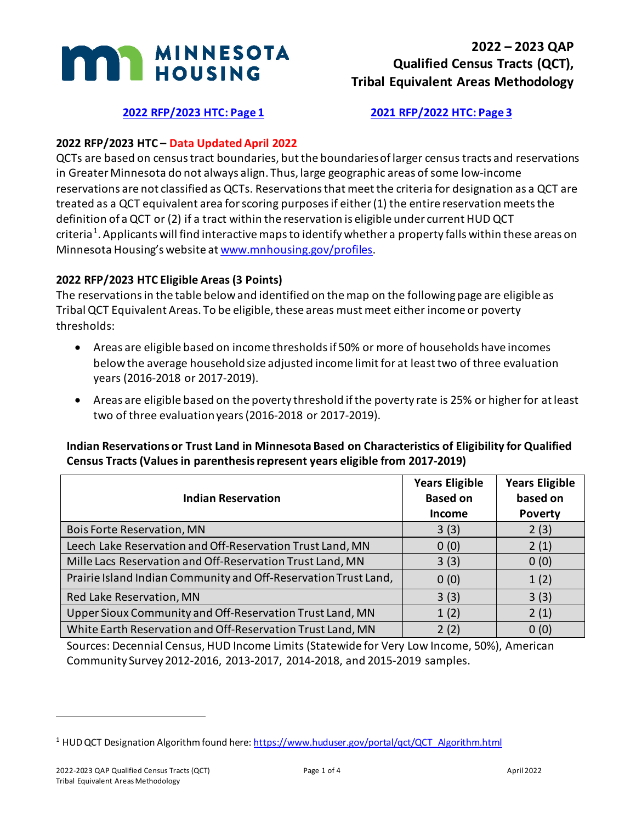

# **[2022 RFP/2023 HTC: Page 1](#page-0-0) [2021 RFP/2022 HTC: Page 3](#page-2-0)**

# <span id="page-0-0"></span>**2022 RFP/2023 HTC – Data Updated April 2022**

QCTs are based on census tract boundaries, but the boundaries of larger census tracts and reservations in Greater Minnesota do not always align. Thus, large geographic areas of some low-income reservations are not classified as QCTs. Reservations that meet the criteria for designation as a QCT are treated as a QCT equivalent area for scoring purposes if either (1) the entire reservation meets the definition of a QCT or (2) if a tract within the reservation is eligible under current HUD QCT criteria<sup>[1](#page-0-1)</sup>. Applicants will find interactive maps to identify whether a property falls within these areas on Minnesota Housing's website a[t www.mnhousing.gov/profiles.](https://www.mnhousing.gov/profiles)

### **2022 RFP/2023 HTC Eligible Areas (3 Points)**

The reservations in the table below and identified on the map on the following page are eligible as Tribal QCT Equivalent Areas. To be eligible, these areas must meet either income or poverty thresholds:

- Areas are eligible based on income thresholds if 50% or more of households have incomes below the average household size adjusted income limit for at least two of three evaluation years (2016-2018 or 2017-2019).
- Areas are eligible based on the poverty threshold if the poverty rate is 25% or higher for at least two of three evaluation years (2016-2018 or 2017-2019).

### **Indian Reservations or Trust Land in Minnesota Based on Characteristics of Eligibility for Qualified Census Tracts (Values in parenthesis represent years eligible from 2017-2019)**

| <b>Indian Reservation</b>                                       | <b>Years Eligible</b><br><b>Based on</b><br><b>Income</b> | <b>Years Eligible</b><br>based on<br><b>Poverty</b> |
|-----------------------------------------------------------------|-----------------------------------------------------------|-----------------------------------------------------|
| <b>Bois Forte Reservation, MN</b>                               | 3(3)                                                      | 2(3)                                                |
| Leech Lake Reservation and Off-Reservation Trust Land, MN       | 0(0)                                                      | 2(1)                                                |
| Mille Lacs Reservation and Off-Reservation Trust Land, MN       | 3(3)                                                      | 0(0)                                                |
| Prairie Island Indian Community and Off-Reservation Trust Land, | 0(0)                                                      | 1(2)                                                |
| Red Lake Reservation, MN                                        | 3(3)                                                      | 3(3)                                                |
| Upper Sioux Community and Off-Reservation Trust Land, MN        | 1(2)                                                      | 2(1)                                                |
| White Earth Reservation and Off-Reservation Trust Land, MN      | 2(2)                                                      | 0(0)                                                |

Sources: Decennial Census, HUD Income Limits (Statewide for Very Low Income, 50%), American Community Survey 2012-2016, 2013-2017, 2014-2018, and 2015-2019 samples.

<span id="page-0-1"></span><sup>&</sup>lt;sup>1</sup> HUD QCT Designation Algorithm found here: [https://www.huduser.gov/portal/qct/QCT\\_Algorithm.html](https://www.huduser.gov/portal/qct/QCT_Algorithm.html)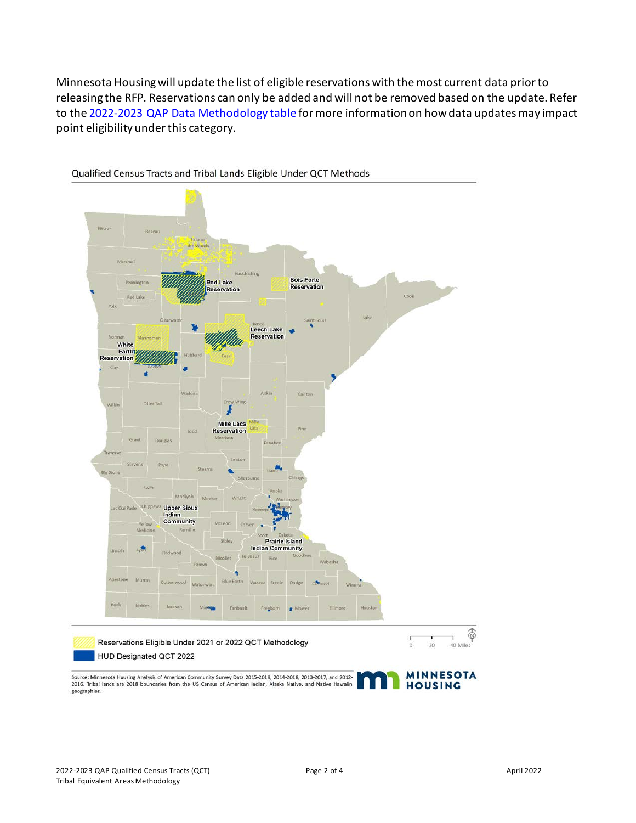Minnesota Housing will update the list of eligible reservations with the most current data prior to releasing the RFP. Reservations can only be added and will not be removed based on the update. Refer to the [2022-2023 QAP Data Methodology table](https://www.mnhousing.gov/get/MHFA_238743) for more information on how data updates may impact point eligibility under this category.



Qualified Census Tracts and Tribal Lands Eligible Under QCT Methods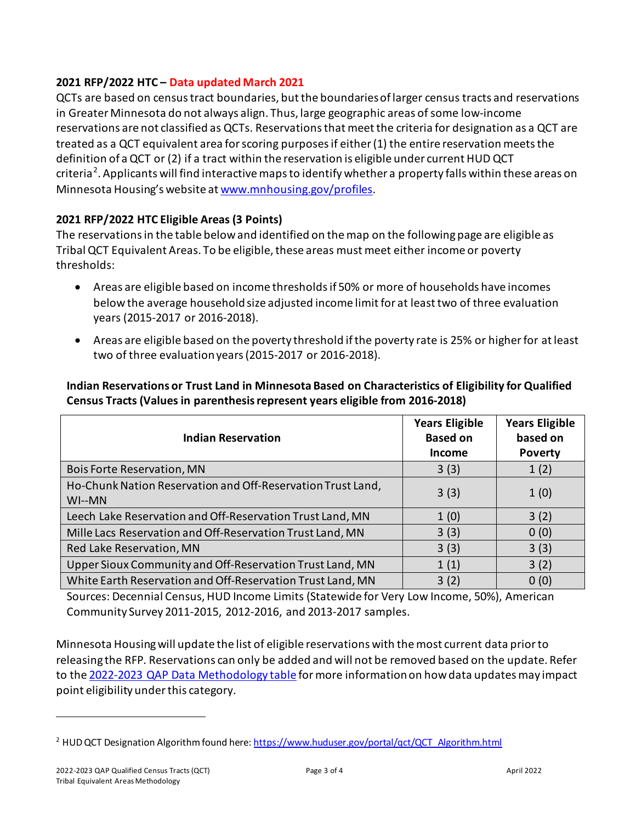## <span id="page-2-0"></span>**2021 RFP/2022 HTC – Data updated March 2021**

QCTs are based on census tract boundaries, but the boundaries of larger census tracts and reservations in Greater Minnesota do not always align. Thus, large geographic areas of some low-income reservations are not classified as QCTs. Reservations that meet the criteria for designation as a QCT are treated as a QCT equivalent area for scoring purposesif either (1) the entire reservation meets the definition of a QCT or (2) if a tract within the reservation is eligible under current HUD QCT criteria<sup>[2](#page-2-1)</sup>. Applicants will find interactive maps to identify whether a property falls within these areas on Minnesota Housing's website a[t www.mnhousing.gov/profiles.](https://www.mnhousing.gov/profiles)

# **2021 RFP/2022 HTC Eligible Areas (3 Points)**

The reservations in the table below and identified on the map on the following page are eligible as Tribal QCT Equivalent Areas. To be eligible, these areas must meet either income or poverty thresholds:

- Areas are eligible based on income thresholdsif 50% or more of households have incomes below the average household size adjusted income limit for at least two of three evaluation years (2015-2017 or 2016-2018).
- Areas are eligible based on the poverty threshold if the poverty rate is 25% or higher for at least two of three evaluation years(2015-2017 or 2016-2018).

**Indian Reservations or Trust Land in Minnesota Based on Characteristics of Eligibility for Qualified Census Tracts (Values in parenthesis represent years eligible from 2016-2018)**

| <b>Indian Reservation</b>                                              | <b>Years Eligible</b><br><b>Based on</b><br><b>Income</b> | <b>Years Eligible</b><br>based on<br><b>Poverty</b> |
|------------------------------------------------------------------------|-----------------------------------------------------------|-----------------------------------------------------|
| <b>Bois Forte Reservation, MN</b>                                      | 3(3)                                                      | 1(2)                                                |
| Ho-Chunk Nation Reservation and Off-Reservation Trust Land,<br>$WI-MN$ | 3(3)                                                      | 1(0)                                                |
| Leech Lake Reservation and Off-Reservation Trust Land, MN              | 1(0)                                                      | 3(2)                                                |
| Mille Lacs Reservation and Off-Reservation Trust Land, MN              | 3(3)                                                      | 0(0)                                                |
| Red Lake Reservation, MN                                               | 3(3)                                                      | 3(3)                                                |
| Upper Sioux Community and Off-Reservation Trust Land, MN               | 1(1)                                                      | 3(2)                                                |
| White Earth Reservation and Off-Reservation Trust Land, MN             | 3(2)                                                      | 0(0)                                                |

Sources: Decennial Census, HUD Income Limits (Statewide for Very Low Income, 50%), American Community Survey 2011-2015, 2012-2016, and 2013-2017 samples.

Minnesota Housing will update the list of eligible reservations with the most current data prior to releasing the RFP. Reservations can only be added and will not be removed based on the update. Refer to the [2022-2023 QAP Data Methodology table](https://www.mnhousing.gov/get/MHFA_238743) for more information on how data updates may impact point eligibility under this category.

<span id="page-2-1"></span><sup>&</sup>lt;sup>2</sup> HUD QCT Designation Algorithm found here: https://www.huduser.gov/portal/qct/QCT\_Algorithm.html